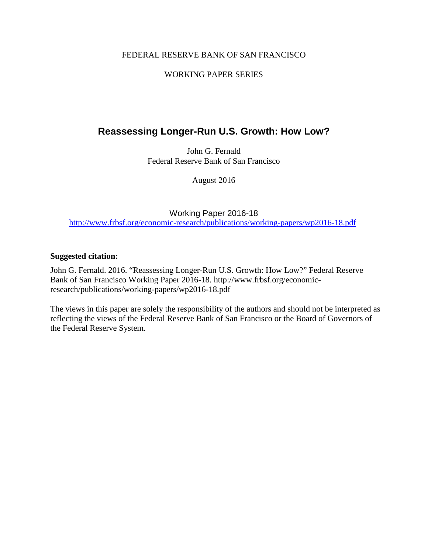## FEDERAL RESERVE BANK OF SAN FRANCISCO

## WORKING PAPER SERIES

# **Reassessing Longer-Run U.S. Growth: How Low?**

John G. Fernald Federal Reserve Bank of San Francisco

August 2016

Working Paper 2016-18 <http://www.frbsf.org/economic-research/publications/working-papers/wp2016-18.pdf>

#### **Suggested citation:**

John G. Fernald. 2016. "Reassessing Longer-Run U.S. Growth: How Low?" Federal Reserve Bank of San Francisco Working Paper 2016-18. http://www.frbsf.org/economicresearch/publications/working-papers/wp2016-18.pdf

The views in this paper are solely the responsibility of the authors and should not be interpreted as reflecting the views of the Federal Reserve Bank of San Francisco or the Board of Governors of the Federal Reserve System.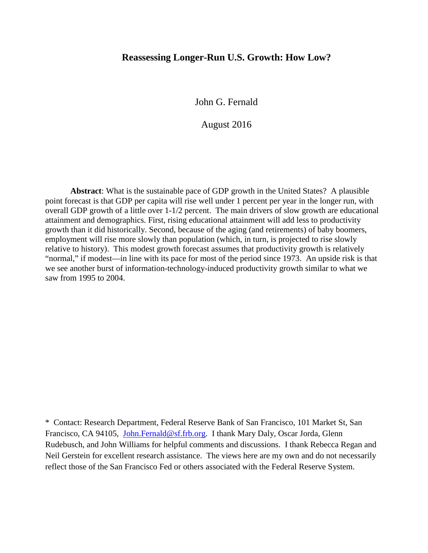## **Reassessing Longer-Run U.S. Growth: How Low?**

John G. Fernald

August 2016

**Abstract**: What is the sustainable pace of GDP growth in the United States? A plausible point forecast is that GDP per capita will rise well under 1 percent per year in the longer run, with overall GDP growth of a little over 1-1/2 percent. The main drivers of slow growth are educational attainment and demographics. First, rising educational attainment will add less to productivity growth than it did historically. Second, because of the aging (and retirements) of baby boomers, employment will rise more slowly than population (which, in turn, is projected to rise slowly relative to history). This modest growth forecast assumes that productivity growth is relatively "normal," if modest—in line with its pace for most of the period since 1973. An upside risk is that we see another burst of information-technology-induced productivity growth similar to what we saw from 1995 to 2004.

\* Contact: Research Department, Federal Reserve Bank of San Francisco, 101 Market St, San Francisco, CA 94105, [John.Fernald@sf.frb.org.](mailto:John.Fernald@sf.frb.org) I thank Mary Daly, Oscar Jorda, Glenn Rudebusch, and John Williams for helpful comments and discussions. I thank Rebecca Regan and Neil Gerstein for excellent research assistance. The views here are my own and do not necessarily reflect those of the San Francisco Fed or others associated with the Federal Reserve System.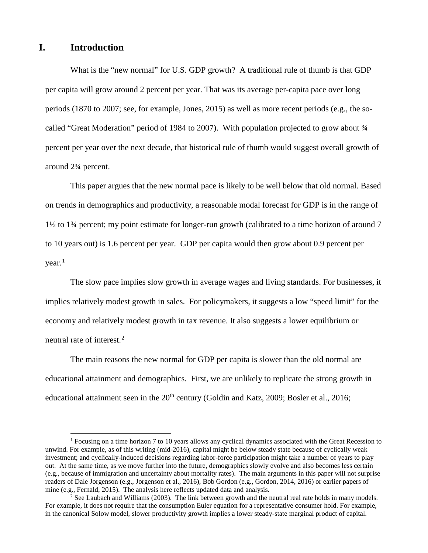## **I. Introduction**

What is the "new normal" for U.S. GDP growth? A traditional rule of thumb is that GDP per capita will grow around 2 percent per year. That was its average per-capita pace over long periods (1870 to 2007; see, for example, Jones, 2015) as well as more recent periods (e.g., the socalled "Great Moderation" period of 1984 to 2007). With population projected to grow about  $\frac{3}{4}$ percent per year over the next decade, that historical rule of thumb would suggest overall growth of around 2¾ percent.

This paper argues that the new normal pace is likely to be well below that old normal. Based on trends in demographics and productivity, a reasonable modal forecast for GDP is in the range of 1½ to 1¾ percent; my point estimate for longer-run growth (calibrated to a time horizon of around 7 to 10 years out) is 1.6 percent per year. GDP per capita would then grow about 0.9 percent per  $year<sup>1</sup>$  $year<sup>1</sup>$  $year<sup>1</sup>$ 

The slow pace implies slow growth in average wages and living standards. For businesses, it implies relatively modest growth in sales. For policymakers, it suggests a low "speed limit" for the economy and relatively modest growth in tax revenue. It also suggests a lower equilibrium or neutral rate of interest.<sup>[2](#page-2-0)</sup>

The main reasons the new normal for GDP per capita is slower than the old normal are educational attainment and demographics. First, we are unlikely to replicate the strong growth in educational attainment seen in the  $20<sup>th</sup>$  century (Goldin and Katz, 2009; Bosler et al., 2016;

<sup>&</sup>lt;sup>1</sup> Focusing on a time horizon 7 to 10 years allows any cyclical dynamics associated with the Great Recession to unwind. For example, as of this writing (mid-2016), capital might be below steady state because of cyclically weak investment; and cyclically-induced decisions regarding labor-force participation might take a number of years to play out. At the same time, as we move further into the future, demographics slowly evolve and also becomes less certain (e.g., because of immigration and uncertainty about mortality rates). The main arguments in this paper will not surprise readers of Dale Jorgenson (e.g., Jorgenson et al., 2016), Bob Gordon (e.g., Gordon, 2014, 2016) or earlier papers of mine (e.g., Fernald, 2015). The analysis here reflects updated data and analysis.

<span id="page-2-0"></span><sup>&</sup>lt;sup>2</sup> See Laubach and Williams (2003). The link between growth and the neutral real rate holds in many models. For example, it does not require that the consumption Euler equation for a representative consumer hold. For example, in the canonical Solow model, slower productivity growth implies a lower steady-state marginal product of capital.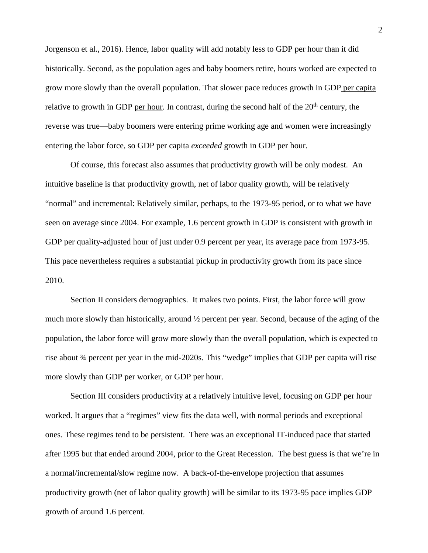Jorgenson et al., 2016). Hence, labor quality will add notably less to GDP per hour than it did historically. Second, as the population ages and baby boomers retire, hours worked are expected to grow more slowly than the overall population. That slower pace reduces growth in GDP per capita relative to growth in GDP per hour. In contrast, during the second half of the  $20<sup>th</sup>$  century, the reverse was true—baby boomers were entering prime working age and women were increasingly entering the labor force, so GDP per capita *exceeded* growth in GDP per hour.

Of course, this forecast also assumes that productivity growth will be only modest. An intuitive baseline is that productivity growth, net of labor quality growth, will be relatively "normal" and incremental: Relatively similar, perhaps, to the 1973-95 period, or to what we have seen on average since 2004. For example, 1.6 percent growth in GDP is consistent with growth in GDP per quality-adjusted hour of just under 0.9 percent per year, its average pace from 1973-95. This pace nevertheless requires a substantial pickup in productivity growth from its pace since 2010.

Section II considers demographics. It makes two points. First, the labor force will grow much more slowly than historically, around ½ percent per year. Second, because of the aging of the population, the labor force will grow more slowly than the overall population, which is expected to rise about ¾ percent per year in the mid-2020s. This "wedge" implies that GDP per capita will rise more slowly than GDP per worker, or GDP per hour.

<span id="page-3-0"></span>Section III considers productivity at a relatively intuitive level, focusing on GDP per hour worked. It argues that a "regimes" view fits the data well, with normal periods and exceptional ones. These regimes tend to be persistent. There was an exceptional IT-induced pace that started after 1995 but that ended around 2004, prior to the Great Recession. The best guess is that we're in a normal/incremental/slow regime now. A back-of-the-envelope projection that assumes productivity growth (net of labor quality growth) will be similar to its 1973-95 pace implies GDP growth of around 1.6 percent.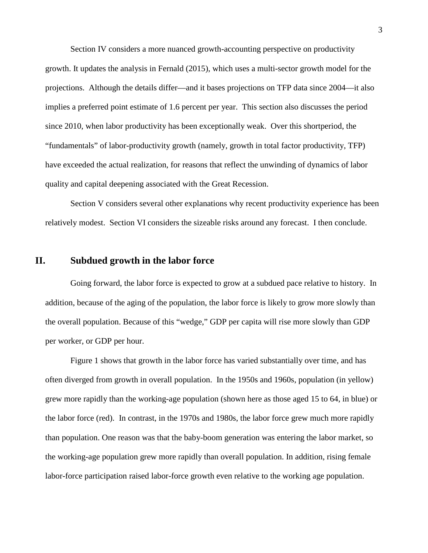Section IV considers a more nuanced growth-accounting perspective on productivity growth. It updates the analysis in Fernald (2015), which uses a multi-sector growth model for the projections. Although the details differ—and it bases projections on TFP data since 2004—it also implies a preferred point estimate of 1.6 percent per year. This section also discusses the period since 2010, when labor productivity has been exceptionally weak. Over this shortperiod, the "fundamentals" of labor-productivity growth (namely, growth in total factor productivity, TFP) have exceeded the actual realization, for reasons that reflect the unwinding of dynamics of labor quality and capital deepening associated with the Great Recession.

Section [V](#page-17-0) considers several other explanations why recent productivity experience has been relatively modest. Section [VI](#page-19-0) considers the sizeable risks around any forecast. I then conclude.

#### **II. Subdued growth in the labor force**

Going forward, the labor force is expected to grow at a subdued pace relative to history. In addition, because of the aging of the population, the labor force is likely to grow more slowly than the overall population. Because of this "wedge," GDP per capita will rise more slowly than GDP per worker, or GDP per hour.

[Figure 1](#page-5-0) shows that growth in the labor force has varied substantially over time, and has often diverged from growth in overall population. In the 1950s and 1960s, population (in yellow) grew more rapidly than the working-age population (shown here as those aged 15 to 64, in blue) or the labor force (red). In contrast, in the 1970s and 1980s, the labor force grew much more rapidly than population. One reason was that the baby-boom generation was entering the labor market, so the working-age population grew more rapidly than overall population. In addition, rising female labor-force participation raised labor-force growth even relative to the working age population.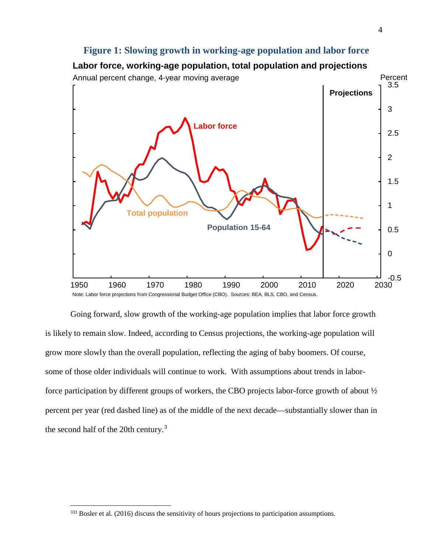## **Figure 1: Slowing growth in working-age population and labor force**

<span id="page-5-0"></span>

Going forward, slow growth of the working-age population implies that labor force growth is likely to remain slow. Indeed, according to Census projections, the working-age population will grow more slowly than the overall population, reflecting the aging of baby boomers. Of course, some of those older individuals will continue to work. With assumptions about trends in laborforce participation by different groups of workers, the CBO projects labor-force growth of about ½ percent per year (red dashed line) as of the middle of the next decade—substantially slower than in the second half of the 20th century. [3](#page-5-1)

<span id="page-5-1"></span><sup>&</sup>lt;sup>333</sup> Bosler et al. (2016) discuss the sensitivity of hours projections to participation assumptions.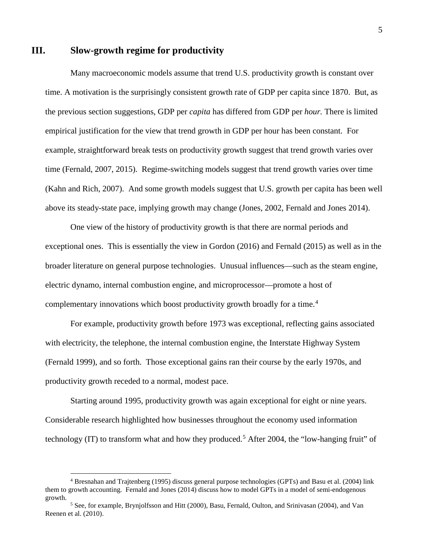## <span id="page-6-2"></span>**III. Slow-growth regime for productivity**

Many macroeconomic models assume that trend U.S. productivity growth is constant over time. A motivation is the surprisingly consistent growth rate of GDP per capita since 1870. But, as the previous section suggestions, GDP per *capita* has differed from GDP per *hour.* There is limited empirical justification for the view that trend growth in GDP per hour has been constant. For example, straightforward break tests on productivity growth suggest that trend growth varies over time (Fernald, 2007, 2015). Regime-switching models suggest that trend growth varies over time (Kahn and Rich, 2007). And some growth models suggest that U.S. growth per capita has been well above its steady-state pace, implying growth may change (Jones, 2002, Fernald and Jones 2014).

One view of the history of productivity growth is that there are normal periods and exceptional ones. This is essentially the view in Gordon (2016) and Fernald (2015) as well as in the broader literature on general purpose technologies. Unusual influences—such as the steam engine, electric dynamo, internal combustion engine, and microprocessor—promote a host of complementary innovations which boost productivity growth broadly for a time.<sup>[4](#page-6-0)</sup>

For example, productivity growth before 1973 was exceptional, reflecting gains associated with electricity, the telephone, the internal combustion engine, the Interstate Highway System (Fernald 1999), and so forth. Those exceptional gains ran their course by the early 1970s, and productivity growth receded to a normal, modest pace.

Starting around 1995, productivity growth was again exceptional for eight or nine years. Considerable research highlighted how businesses throughout the economy used information technology (IT) to transform what and how they produced.<sup>[5](#page-6-1)</sup> After 2004, the "low-hanging fruit" of

<span id="page-6-0"></span> <sup>4</sup> Bresnahan and Trajtenberg (1995) discuss general purpose technologies (GPTs) and Basu et al. (2004) link them to growth accounting. Fernald and Jones (2014) discuss how to model GPTs in a model of semi-endogenous growth.<br><sup>5</sup> See, for example, Brynjolfsson and Hitt (2000), Basu, Fernald, Oulton, and Srinivasan (2004), and Van

<span id="page-6-1"></span>Reenen et al. (2010).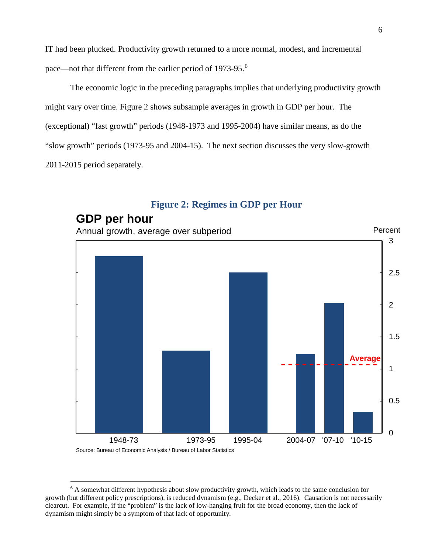IT had been plucked. Productivity growth returned to a more normal, modest, and incremental pace—not that different from the earlier period of 1973-95.<sup>[6](#page-7-1)</sup>

The economic logic in the preceding paragraphs implies that underlying productivity growth might vary over time. [Figure 2](#page-7-0) shows subsample averages in growth in GDP per hour. The (exceptional) "fast growth" periods (1948-1973 and 1995-2004) have similar means, as do the "slow growth" periods (1973-95 and 2004-15). The next section discusses the very slow-growth 2011-2015 period separately.

<span id="page-7-0"></span>

## **Figure 2: Regimes in GDP per Hour**

Source: Bureau of Economic Analysis / Bureau of Labor Statistics

<span id="page-7-1"></span> <sup>6</sup> A somewhat different hypothesis about slow productivity growth, which leads to the same conclusion for growth (but different policy prescriptions), is reduced dynamism (e.g., Decker et al., 2016). Causation is not necessarily clearcut. For example, if the "problem" is the lack of low-hanging fruit for the broad economy, then the lack of dynamism might simply be a symptom of that lack of opportunity.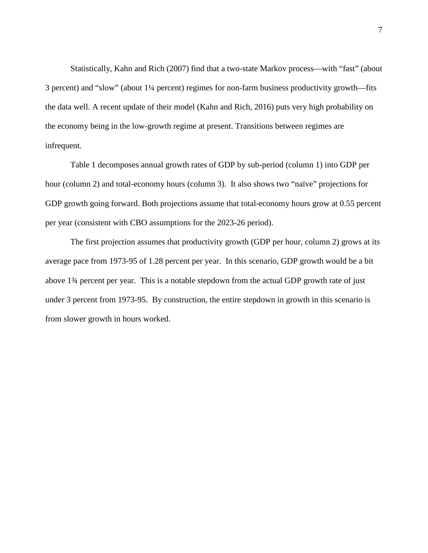Statistically, Kahn and Rich (2007) find that a two-state Markov process—with "fast" (about 3 percent) and "slow" (about 1¼ percent) regimes for non-farm business productivity growth—fits the data well. A recent update of their model (Kahn and Rich, 2016) puts very high probability on the economy being in the low-growth regime at present. Transitions between regimes are infrequent.

[Table 1](#page-9-0) decomposes annual growth rates of GDP by sub-period (column 1) into GDP per hour (column 2) and total-economy hours (column 3). It also shows two "naïve" projections for GDP growth going forward. Both projections assume that total-economy hours grow at 0.55 percent per year (consistent with CBO assumptions for the 2023-26 period).

The first projection assumes that productivity growth (GDP per hour, column 2) grows at its average pace from 1973-95 of 1.28 percent per year. In this scenario, GDP growth would be a bit above 1¾ percent per year. This is a notable stepdown from the actual GDP growth rate of just under 3 percent from 1973-95. By construction, the entire stepdown in growth in this scenario is from slower growth in hours worked.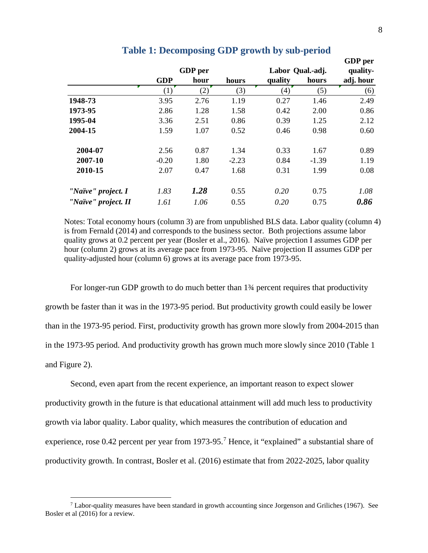<span id="page-9-0"></span>

|                     |            |      |         |                  |          | <b>GDP</b> per |
|---------------------|------------|------|---------|------------------|----------|----------------|
|                     | GDP per    |      |         | Labor Qual.-adj. | quality- |                |
|                     | <b>GDP</b> | hour | hours   | quality          | hours    | adj. hour      |
|                     | (1)        | (2)  | (3)     | (4)              | (5)      | (6)            |
| 1948-73             | 3.95       | 2.76 | 1.19    | 0.27             | 1.46     | 2.49           |
| 1973-95             | 2.86       | 1.28 | 1.58    | 0.42             | 2.00     | 0.86           |
| 1995-04             | 3.36       | 2.51 | 0.86    | 0.39             | 1.25     | 2.12           |
| 2004-15             | 1.59       | 1.07 | 0.52    | 0.46             | 0.98     | 0.60           |
| 2004-07             | 2.56       | 0.87 | 1.34    | 0.33             | 1.67     | 0.89           |
| 2007-10             | $-0.20$    | 1.80 | $-2.23$ | 0.84             | $-1.39$  | 1.19           |
| 2010-15             | 2.07       | 0.47 | 1.68    | 0.31             | 1.99     | 0.08           |
| "Naïve" project. I  | 1.83       | 1.28 | 0.55    | 0.20             | 0.75     | 1.08           |
| "Naïve" project. II | 1.61       | 1.06 | 0.55    | 0.20             | 0.75     | 0.86           |

#### **Table 1: Decomposing GDP growth by sub-period**

Notes: Total economy hours (column 3) are from unpublished BLS data. Labor quality (column 4) is from Fernald (2014) and corresponds to the business sector. Both projections assume labor quality grows at 0.2 percent per year (Bosler et al., 2016). Naïve projection I assumes GDP per hour (column 2) grows at its average pace from 1973-95. Naïve projection II assumes GDP per quality-adjusted hour (column 6) grows at its average pace from 1973-95.

For longer-run GDP growth to do much better than  $1\frac{3}{4}$  percent requires that productivity growth be faster than it was in the 1973-95 period. But productivity growth could easily be lower than in the 1973-95 period. First, productivity growth has grown more slowly from 2004-2015 than in the 1973-95 period. And productivity growth has grown much more slowly since 2010 [\(Table 1](#page-9-0) and [Figure 2\)](#page-7-0).

Second, even apart from the recent experience, an important reason to expect slower productivity growth in the future is that educational attainment will add much less to productivity growth via labor quality. Labor quality, which measures the contribution of education and experience, rose 0.42 percent per year from 19[7](#page-9-1)3-95.<sup>7</sup> Hence, it "explained" a substantial share of productivity growth. In contrast, Bosler et al. (2016) estimate that from 2022-2025, labor quality

<span id="page-9-1"></span> <sup>7</sup> Labor-quality measures have been standard in growth accounting since Jorgenson and Griliches (1967). See Bosler et al (2016) for a review.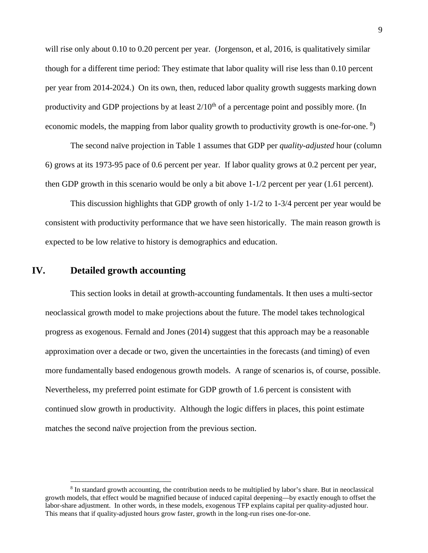will rise only about 0.10 to 0.20 percent per year. (Jorgenson, et al, 2016, is qualitatively similar though for a different time period: They estimate that labor quality will rise less than 0.10 percent per year from 2014-2024.) On its own, then, reduced labor quality growth suggests marking down productivity and GDP projections by at least  $2/10<sup>th</sup>$  of a percentage point and possibly more. (In economic models, the mapping from labor quality growth to productivity growth is one-for-one.<sup>[8](#page-10-0)</sup>)

The second naïve projection in [Table 1](#page-9-0) assumes that GDP per *quality-adjusted* hour (column 6) grows at its 1973-95 pace of 0.6 percent per year. If labor quality grows at 0.2 percent per year, then GDP growth in this scenario would be only a bit above 1-1/2 percent per year (1.61 percent).

This discussion highlights that GDP growth of only 1-1/2 to 1-3/4 percent per year would be consistent with productivity performance that we have seen historically. The main reason growth is expected to be low relative to history is demographics and education.

## <span id="page-10-1"></span>**IV. Detailed growth accounting**

This section looks in detail at growth-accounting fundamentals. It then uses a multi-sector neoclassical growth model to make projections about the future. The model takes technological progress as exogenous. Fernald and Jones (2014) suggest that this approach may be a reasonable approximation over a decade or two, given the uncertainties in the forecasts (and timing) of even more fundamentally based endogenous growth models. A range of scenarios is, of course, possible. Nevertheless, my preferred point estimate for GDP growth of 1.6 percent is consistent with continued slow growth in productivity. Although the logic differs in places, this point estimate matches the second naïve projection from the previous section.

<span id="page-10-0"></span> <sup>8</sup> In standard growth accounting, the contribution needs to be multiplied by labor's share. But in neoclassical growth models, that effect would be magnified because of induced capital deepening—by exactly enough to offset the labor-share adjustment. In other words, in these models, exogenous TFP explains capital per quality-adjusted hour. This means that if quality-adjusted hours grow faster, growth in the long-run rises one-for-one.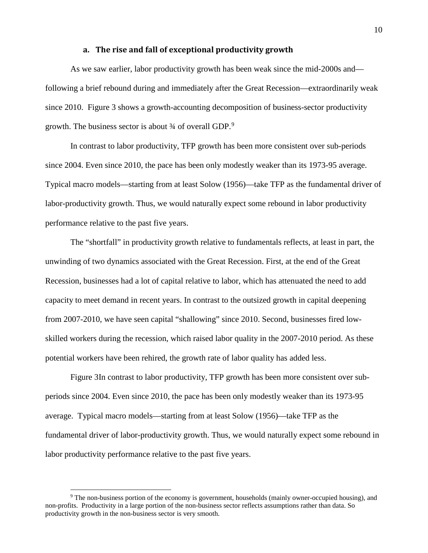#### **a. The rise and fall of exceptional productivity growth**

As we saw earlier, labor productivity growth has been weak since the mid-2000s and following a brief rebound during and immediately after the Great Recession—extraordinarily weak since 2010. [Figure 3](#page-12-0) shows a growth-accounting decomposition of business-sector productivity growth. The business sector is about  $\frac{3}{4}$  of overall GDP.<sup>[9](#page-11-1)</sup>

In contrast [to labor productivity, TFP growth has been more consistent over sub-periods](#page-11-0)  [since 2004. Even since 2010, the pace has been only modestly weaker than its 1973-95 average.](#page-11-0)  Typical macro models—starting from [at least Solow \(1956\)—take TFP as the fundamental driver of](#page-11-0)  [labor-productivity growth. Thus, we would naturally expect some rebound in labor productivity](#page-11-0) [performance relative to the past five years.](#page-11-0)

[The "shortfall" in productivity growth relative to fundamentals reflects, at least in part, the](#page-11-0)  [unwinding of two dynamics associated with the Great Recession. First, at the end of the Great](#page-11-0)  [Recession, businesses had a lot of capital relative to labor, which has attenuated the need to add](#page-11-0)  capacity to meet demand [in recent years. In contrast to the outsized growth in capital deepening](#page-11-0)  [from 2007-2010, we have seen capital "shallowing" since 2010. Second, businesses fired low](#page-11-0)[skilled workers during the recession, which raised labor quality in the 2007-2010 period. As these](#page-11-0)  [potential workers have been rehired, the growth rate of labor quality has added less.](#page-11-0)

<span id="page-11-0"></span>[Figure 3I](#page-11-0)n contrast to labor productivity, TFP growth has been more consistent over subperiods since 2004. Even since 2010, the pace has been only modestly weaker than its 1973-95 average. Typical macro models—starting from at least Solow (1956)—take TFP as the fundamental driver of labor-productivity growth. Thus, we would naturally expect some rebound in labor productivity performance relative to the past five years.

<span id="page-11-1"></span> <sup>9</sup> The non-business portion of the economy is government, households (mainly owner-occupied housing), and non-profits. Productivity in a large portion of the non-business sector reflects assumptions rather than data. So productivity growth in the non-business sector is very smooth.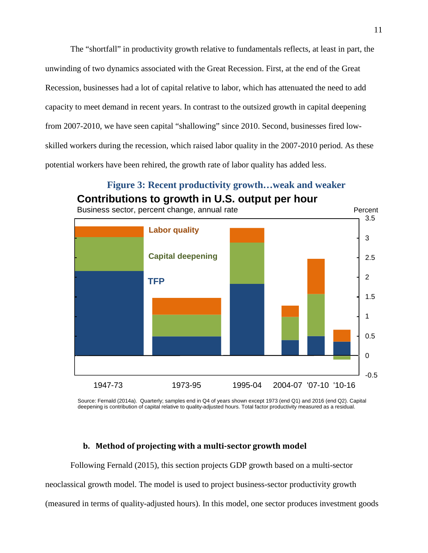The "shortfall" in productivity growth relative to fundamentals reflects, at least in part, the unwinding of two dynamics associated with the Great Recession. First, at the end of the Great Recession, businesses had a lot of capital relative to labor, which has attenuated the need to add capacity to meet demand in recent years. In contrast to the outsized growth in capital deepening from 2007-2010, we have seen capital "shallowing" since 2010. Second, businesses fired lowskilled workers during the recession, which raised labor quality in the 2007-2010 period. As these potential workers have been rehired, the growth rate of labor quality has added less.



# <span id="page-12-0"></span>**Figure 3: Recent productivity growth…weak and weaker Contributions to growth in U.S. output per hour**

Source: Fernald (2014a). Quarterly; samples end in Q4 of years shown except 1973 (end Q1) and 2016 (end Q2). Capital deepening is contribution of capital relative to quality-adjusted hours. Total factor productivity measured as a residual.

#### **b. Method of projecting with a multi-sector growth model**

Following Fernald (2015), this section projects GDP growth based on a multi-sector neoclassical growth model. The model is used to project business-sector productivity growth (measured in terms of quality-adjusted hours). In this model, one sector produces investment goods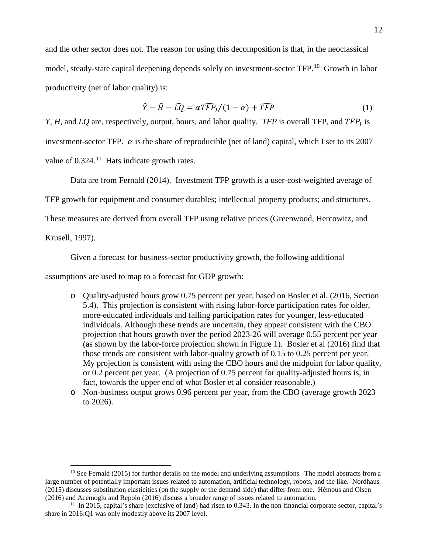and the other sector does not. The reason for using this decomposition is that, in the neoclassical model, steady-state capital deepening depends solely on investment-sector TFP.<sup>[10](#page-13-0)</sup> Growth in labor productivity (net of labor quality) is:

$$
\hat{Y} - \hat{H} - \widehat{LQ} = \alpha \widehat{TFP_I}/(1 - \alpha) + \widehat{TFP}
$$
 (1)

*Y, H,* and  $LQ$  are, respectively, output, hours, and labor quality. *TFP* is overall TFP, and  $TFP<sub>I</sub>$  is investment-sector TFP.  $\alpha$  is the share of reproducible (net of land) capital, which I set to its 2007 value of 0.324.<sup>[11](#page-13-1)</sup> Hats indicate growth rates.

Data are from Fernald (2014). Investment TFP growth is a user-cost-weighted average of

TFP growth for equipment and consumer durables; intellectual property products; and structures.

These measures are derived from overall TFP using relative prices (Greenwood, Hercowitz, and

Krusell, 1997).

Given a forecast for business-sector productivity growth, the following additional

assumptions are used to map to a forecast for GDP growth:

- o Quality-adjusted hours grow 0.75 percent per year, based on Bosler et al. (2016, Section 5.4). This projection is consistent with rising labor-force participation rates for older, more-educated individuals and falling participation rates for younger, less-educated individuals. Although these trends are uncertain, they appear consistent with the CBO projection that hours growth over the period 2023-26 will average 0.55 percent per year (as shown by the labor-force projection shown in [Figure 1\)](#page-5-0). Bosler et al (2016) find that those trends are consistent with labor-quality growth of 0.15 to 0.25 percent per year. My projection is consistent with using the CBO hours and the midpoint for labor quality, or 0.2 percent per year. (A projection of 0.75 percent for quality-adjusted hours is, in fact, towards the upper end of what Bosler et al consider reasonable.)
- o Non-business output grows 0.96 percent per year, from the CBO (average growth 2023 to 2026).

<span id="page-13-0"></span> $10$  See Fernald (2015) for further details on the model and underlying assumptions. The model abstracts from a large number of potentially important issues related to automation, artificial technology, robots, and the like. Nordhaus (2015) discusses substitution elasticities (on the supply or the demand side) that differ from one. Hémous and Olsen (2016) and Acemoglu and Repolo (2016) discuss a broader range of issues related to automation.

<span id="page-13-1"></span><sup>11</sup> In 2015, capital's share (exclusive of land) had risen to 0.343. In the non-financial corporate sector, capital's share in 2016:Q1 was only modestly above its 2007 level.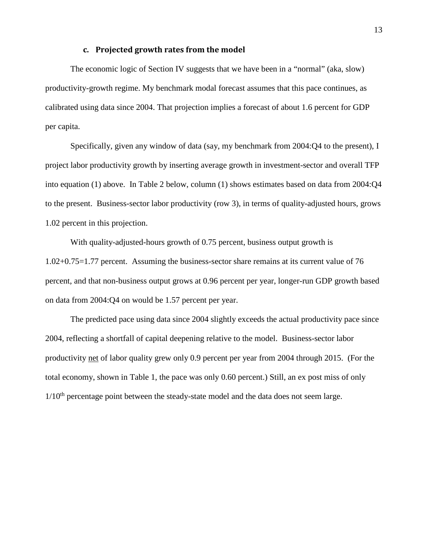## **c. Projected growth rates from the model**

The economic logic of Section [IV](#page-10-1) suggests that we have been in a "normal" (aka, slow) productivity-growth regime. My benchmark modal forecast assumes that this pace continues, as calibrated using data since 2004. That projection implies a forecast of about 1.6 percent for GDP per capita.

Specifically, given any window of data (say, my benchmark from 2004:Q4 to the present), I project labor productivity growth by inserting average growth in investment-sector and overall TFP into equation (1) above. In [Table 2](#page-15-0) below, column (1) shows estimates based on data from 2004:Q4 to the present. Business-sector labor productivity (row 3), in terms of quality-adjusted hours, grows 1.02 percent in this projection.

With quality-adjusted-hours growth of 0.75 percent, business output growth is 1.02+0.75=1.77 percent. Assuming the business-sector share remains at its current value of 76 percent, and that non-business output grows at 0.96 percent per year, longer-run GDP growth based on data from 2004:Q4 on would be 1.57 percent per year.

The predicted pace using data since 2004 slightly exceeds the actual productivity pace since 2004, reflecting a shortfall of capital deepening relative to the model. Business-sector labor productivity net of labor quality grew only 0.9 percent per year from 2004 through 2015. (For the total economy, shown in [Table 1,](#page-9-0) the pace was only 0.60 percent.) Still, an ex post miss of only  $1/10<sup>th</sup>$  percentage point between the steady-state model and the data does not seem large.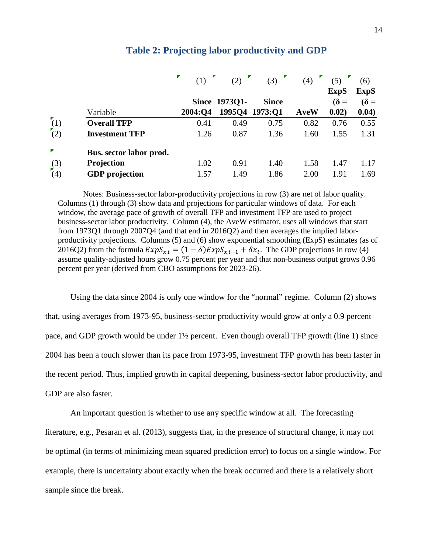<span id="page-15-0"></span>

|                  |                         | (1)     | (2)           | (3)            | (4)         | (5)         | (6)         |
|------------------|-------------------------|---------|---------------|----------------|-------------|-------------|-------------|
|                  |                         |         |               |                |             | <b>ExpS</b> | <b>ExpS</b> |
|                  |                         |         | Since 1973Q1- | <b>Since</b>   |             | $\delta$ =  | $\delta$ =  |
|                  | Variable                | 2004:Q4 |               | 1995Q4 1973:Q1 | <b>AveW</b> | 0.02)       | 0.04)       |
| (1)              | <b>Overall TFP</b>      | 0.41    | 0.49          | 0.75           | 0.82        | 0.76        | 0.55        |
| $\sqrt{(2)}$     | <b>Investment TFP</b>   | 1.26    | 0.87          | 1.36           | 1.60        | 1.55        | 1.31        |
| ▼                | Bus. sector labor prod. |         |               |                |             |             |             |
| (3)              | Projection              | 1.02    | 0.91          | 1.40           | 1.58        | 1.47        | 1.17        |
| $\left(4\right)$ | <b>GDP</b> projection   | 1.57    | 1.49          | 1.86           | 2.00        | 1.91        | 1.69        |

#### **Table 2: Projecting labor productivity and GDP**

Notes: Business-sector labor-productivity projections in row (3) are net of labor quality. Columns (1) through (3) show data and projections for particular windows of data. For each window, the average pace of growth of overall TFP and investment TFP are used to project business-sector labor productivity. Column (4), the AveW estimator, uses all windows that start from 1973Q1 through 2007Q4 (and that end in 2016Q2) and then averages the implied laborproductivity projections. Columns (5) and (6) show exponential smoothing (ExpS) estimates (as of 2016Q2) from the formula  $ExpS_{x,t} = (1 - \delta) ExpS_{x,t-1} + \delta x_t$ . The GDP projections in row (4) assume quality-adjusted hours grow 0.75 percent per year and that non-business output grows 0.96 percent per year (derived from CBO assumptions for 2023-26).

Using the data since 2004 is only one window for the "normal" regime. Column (2) shows that, using averages from 1973-95, business-sector productivity would grow at only a 0.9 percent pace, and GDP growth would be under 1½ percent. Even though overall TFP growth (line 1) since 2004 has been a touch slower than its pace from 1973-95, investment TFP growth has been faster in the recent period. Thus, implied growth in capital deepening, business-sector labor productivity, and GDP are also faster.

An important question is whether to use any specific window at all. The forecasting literature, e.g., Pesaran et al. (2013), suggests that, in the presence of structural change, it may not be optimal (in terms of minimizing mean squared prediction error) to focus on a single window. For example, there is uncertainty about exactly when the break occurred and there is a relatively short sample since the break.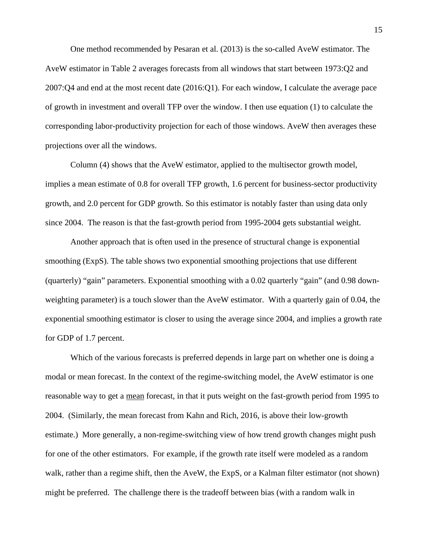One method recommended by Pesaran et al. (2013) is the so-called AveW estimator. The AveW estimator in [Table 2](#page-15-0) averages forecasts from all windows that start between 1973:Q2 and 2007:Q4 and end at the most recent date (2016:Q1). For each window, I calculate the average pace of growth in investment and overall TFP over the window. I then use equation (1) to calculate the corresponding labor-productivity projection for each of those windows. AveW then averages these projections over all the windows.

Column (4) shows that the AveW estimator, applied to the multisector growth model, implies a mean estimate of 0.8 for overall TFP growth, 1.6 percent for business-sector productivity growth, and 2.0 percent for GDP growth. So this estimator is notably faster than using data only since 2004. The reason is that the fast-growth period from 1995-2004 gets substantial weight.

Another approach that is often used in the presence of structural change is exponential smoothing (ExpS). The table shows two exponential smoothing projections that use different (quarterly) "gain" parameters. Exponential smoothing with a 0.02 quarterly "gain" (and 0.98 downweighting parameter) is a touch slower than the AveW estimator. With a quarterly gain of 0.04, the exponential smoothing estimator is closer to using the average since 2004, and implies a growth rate for GDP of 1.7 percent.

Which of the various forecasts is preferred depends in large part on whether one is doing a modal or mean forecast. In the context of the regime-switching model, the AveW estimator is one reasonable way to get a mean forecast, in that it puts weight on the fast-growth period from 1995 to 2004. (Similarly, the mean forecast from Kahn and Rich, 2016, is above their low-growth estimate.) More generally, a non-regime-switching view of how trend growth changes might push for one of the other estimators. For example, if the growth rate itself were modeled as a random walk, rather than a regime shift, then the AveW, the ExpS, or a Kalman filter estimator (not shown) might be preferred. The challenge there is the tradeoff between bias (with a random walk in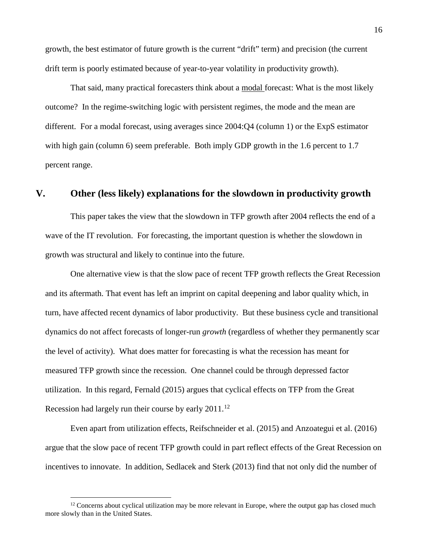growth, the best estimator of future growth is the current "drift" term) and precision (the current drift term is poorly estimated because of year-to-year volatility in productivity growth).

That said, many practical forecasters think about a modal forecast: What is the most likely outcome? In the regime-switching logic with persistent regimes, the mode and the mean are different. For a modal forecast, using averages since 2004:Q4 (column 1) or the ExpS estimator with high gain (column 6) seem preferable. Both imply GDP growth in the 1.6 percent to 1.7 percent range.

### <span id="page-17-0"></span>**V. Other (less likely) explanations for the slowdown in productivity growth**

This paper takes the view that the slowdown in TFP growth after 2004 reflects the end of a wave of the IT revolution. For forecasting, the important question is whether the slowdown in growth was structural and likely to continue into the future.

One alternative view is that the slow pace of recent TFP growth reflects the Great Recession and its aftermath. That event has left an imprint on capital deepening and labor quality which, in turn, have affected recent dynamics of labor productivity. But these business cycle and transitional dynamics do not affect forecasts of longer-run *growth* (regardless of whether they permanently scar the level of activity). What does matter for forecasting is what the recession has meant for measured TFP growth since the recession. One channel could be through depressed factor utilization. In this regard, Fernald (2015) argues that cyclical effects on TFP from the Great Recession had largely run their course by early  $2011$ .<sup>[12](#page-17-1)</sup>

Even apart from utilization effects, Reifschneider et al. (2015) and Anzoategui et al. (2016) argue that the slow pace of recent TFP growth could in part reflect effects of the Great Recession on incentives to innovate. In addition, Sedlacek and Sterk (2013) find that not only did the number of

<span id="page-17-1"></span> $12$  Concerns about cyclical utilization may be more relevant in Europe, where the output gap has closed much more slowly than in the United States.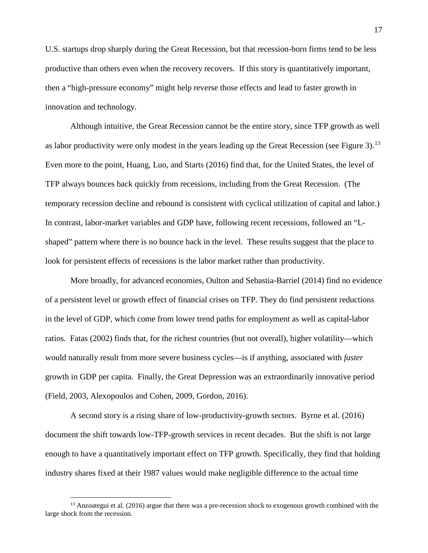U.S. startups drop sharply during the Great Recession, but that recession-born firms tend to be less productive than others even when the recovery recovers. If this story is quantitatively important, then a "high-pressure economy" might help reverse those effects and lead to faster growth in innovation and technology.

Although intuitive, the Great Recession cannot be the entire story, since TFP growth as well as labor productivity were only modest in the years leading up the Great Recession (see [Figure 3\)](#page-12-0).<sup>[13](#page-18-0)</sup> Even more to the point, Huang, Luo, and Starts (2016) find that, for the United States, the level of TFP always bounces back quickly from recessions, including from the Great Recession. (The temporary recession decline and rebound is consistent with cyclical utilization of capital and labor.) In contrast, labor-market variables and GDP have, following recent recessions, followed an "Lshaped" pattern where there is no bounce back in the level. These results suggest that the place to look for persistent effects of recessions is the labor market rather than productivity.

More broadly, for advanced economies, Oulton and Sebastia-Barriel (2014) find no evidence of a persistent level or growth effect of financial crises on TFP. They do find persistent reductions in the level of GDP, which come from lower trend paths for employment as well as capital-labor ratios. Fatas (2002) finds that, for the richest countries (but not overall), higher volatility—which would naturally result from more severe business cycles—is if anything, associated with *faster* growth in GDP per capita. Finally, the Great Depression was an extraordinarily innovative period (Field, 2003, Alexopoulos and Cohen, 2009, Gordon, 2016).

A second story is a rising share of low-productivity-growth sectors. Byrne et al. (2016) document the shift towards low-TFP-growth services in recent decades. But the shift is not large enough to have a quantitatively important effect on TFP growth. Specifically, they find that holding industry shares fixed at their 1987 values would make negligible difference to the actual time

<span id="page-18-0"></span><sup>&</sup>lt;sup>13</sup> Anzoategui et al. (2016) argue that there was a pre-recession shock to exogenous growth combined with the large shock from the recession.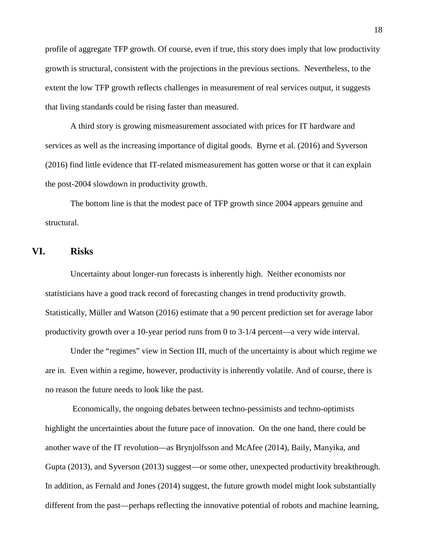profile of aggregate TFP growth. Of course, even if true, this story does imply that low productivity growth is structural, consistent with the projections in the previous sections. Nevertheless, to the extent the low TFP growth reflects challenges in measurement of real services output, it suggests that living standards could be rising faster than measured.

A third story is growing mismeasurement associated with prices for IT hardware and services as well as the increasing importance of digital goods. Byrne et al. (2016) and Syverson (2016) find little evidence that IT-related mismeasurement has gotten worse or that it can explain the post-2004 slowdown in productivity growth.

The bottom line is that the modest pace of TFP growth since 2004 appears genuine and structural.

## <span id="page-19-0"></span>**VI. Risks**

Uncertainty about longer-run forecasts is inherently high. Neither economists nor statisticians have a good track record of forecasting changes in trend productivity growth. Statistically, Müller and Watson (2016) estimate that a 90 percent prediction set for average labor productivity growth over a 10-year period runs from 0 to 3-1/4 percent—a very wide interval.

Under the "regimes" view in Section [III,](#page-6-2) much of the uncertainty is about which regime we are in. Even within a regime, however, productivity is inherently volatile. And of course, there is no reason the future needs to look like the past.

Economically, the ongoing debates between techno-pessimists and techno-optimists highlight the uncertainties about the future pace of innovation. On the one hand, there could be another wave of the IT revolution—as Brynjolfsson and McAfee (2014), Baily, Manyika, and Gupta (2013), and Syverson (2013) suggest—or some other, unexpected productivity breakthrough. In addition, as Fernald and Jones (2014) suggest, the future growth model might look substantially different from the past—perhaps reflecting the innovative potential of robots and machine learning,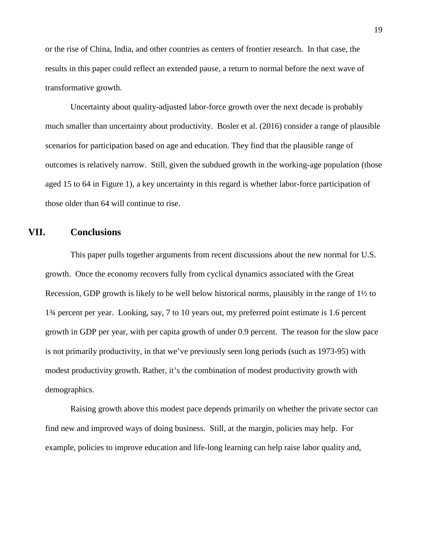or the rise of China, India, and other countries as centers of frontier research. In that case, the results in this paper could reflect an extended pause, a return to normal before the next wave of transformative growth.

Uncertainty about quality-adjusted labor-force growth over the next decade is probably much smaller than uncertainty about productivity. Bosler et al. (2016) consider a range of plausible scenarios for participation based on age and education. They find that the plausible range of outcomes is relatively narrow. Still, given the subdued growth in the working-age population (those aged 15 to 64 in Figure 1), a key uncertainty in this regard is whether labor-force participation of those older than 64 will continue to rise.

## **VII. Conclusions**

This paper pulls together arguments from recent discussions about the new normal for U.S. growth. Once the economy recovers fully from cyclical dynamics associated with the Great Recession, GDP growth is likely to be well below historical norms, plausibly in the range of 1½ to 1¾ percent per year. Looking, say, 7 to 10 years out, my preferred point estimate is 1.6 percent growth in GDP per year, with per capita growth of under 0.9 percent. The reason for the slow pace is not primarily productivity, in that we've previously seen long periods (such as 1973-95) with modest productivity growth. Rather, it's the combination of modest productivity growth with demographics.

Raising growth above this modest pace depends primarily on whether the private sector can find new and improved ways of doing business. Still, at the margin, policies may help. For example, policies to improve education and life-long learning can help raise labor quality and,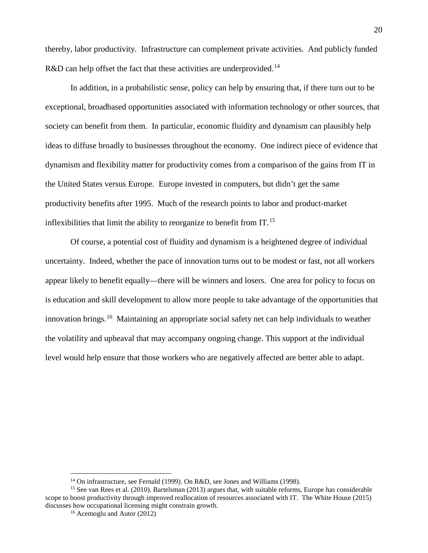thereby, labor productivity. Infrastructure can complement private activities. And publicly funded R&D can help offset the fact that these activities are underprovided.<sup>[14](#page-21-0)</sup>

In addition, in a probabilistic sense, policy can help by ensuring that, if there turn out to be exceptional, broadbased opportunities associated with information technology or other sources, that society can benefit from them. In particular, economic fluidity and dynamism can plausibly help ideas to diffuse broadly to businesses throughout the economy. One indirect piece of evidence that dynamism and flexibility matter for productivity comes from a comparison of the gains from IT in the United States versus Europe. Europe invested in computers, but didn't get the same productivity benefits after 1995. Much of the research points to labor and product-market inflexibilities that limit the ability to reorganize to benefit from  $IT<sup>15</sup>$  $IT<sup>15</sup>$  $IT<sup>15</sup>$ .

Of course, a potential cost of fluidity and dynamism is a heightened degree of individual uncertainty. Indeed, whether the pace of innovation turns out to be modest or fast, not all workers appear likely to benefit equally—there will be winners and losers. One area for policy to focus on is education and skill development to allow more people to take advantage of the opportunities that innovation brings.<sup>16</sup> Maintaining an appropriate social safety net can help individuals to weather the volatility and upheaval that may accompany ongoing change. This support at the individual level would help ensure that those workers who are negatively affected are better able to adapt.

<sup>&</sup>lt;sup>14</sup> On infrastructure, see Fernald (1999). On R&D, see Jones and Williams (1998).

<span id="page-21-2"></span><span id="page-21-1"></span><span id="page-21-0"></span><sup>15</sup> See van Rees et al. (2010). Bartelsman (2013) argues that, with suitable reforms, Europe has considerable scope to boost productivity through improved reallocation of resources associated with IT. The White House (2015) discusses how occupational licensing might constrain growth.

<sup>16</sup> Acemoglu and Autor (2012)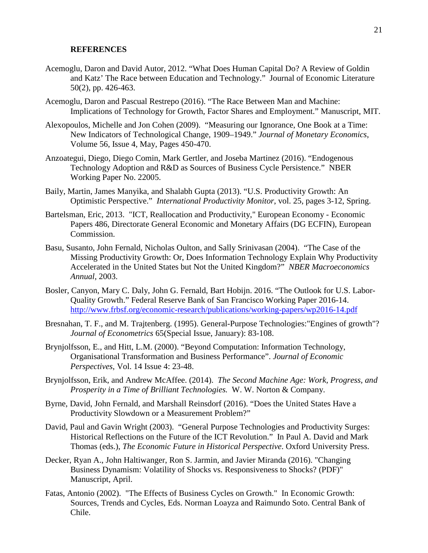#### **REFERENCES**

- Acemoglu, Daron and David Autor, 2012. "What Does Human Capital Do? A Review of Goldin and Katz' The Race between Education and Technology." Journal of Economic Literature 50(2), pp. 426-463.
- Acemoglu, Daron and Pascual Restrepo (2016). "The Race Between Man and Machine: Implications of Technology for Growth, Factor Shares and Employment." Manuscript, MIT.
- Alexopoulos, Michelle and Jon Cohen (2009). "Measuring our Ignorance, One Book at a Time: New Indicators of Technological Change, 1909–1949." *Journal of Monetary Economics*, Volume 56, Issue 4, May, Pages 450-470.
- Anzoategui, Diego, Diego Comin, Mark Gertler, and Joseba Martinez (2016). "Endogenous Technology Adoption and R&D as Sources of Business Cycle Persistence." NBER Working Paper No. 22005.
- Baily, Martin, James Manyika, and Shalabh Gupta (2013). "U.S. Productivity Growth: An Optimistic Perspective." *International Productivity Monitor*, vol. 25, pages 3-12, Spring.
- Bartelsman, Eric, 2013. "ICT, Reallocation and Productivity," European Economy Economic Papers 486, Directorate General Economic and Monetary Affairs (DG ECFIN), European Commission.
- Basu, Susanto, John Fernald, Nicholas Oulton, and Sally Srinivasan (2004). "The Case of the Missing Productivity Growth: Or, Does Information Technology Explain Why Productivity Accelerated in the United States but Not the United Kingdom?" *NBER Macroeconomics Annual*, 2003.
- Bosler, Canyon, Mary C. Daly, John G. Fernald, Bart Hobijn. 2016. "The Outlook for U.S. Labor-Quality Growth." Federal Reserve Bank of San Francisco Working Paper 2016-14. <http://www.frbsf.org/economic-research/publications/working-papers/wp2016-14.pdf>
- Bresnahan, T. F., and M. Trajtenberg. (1995). General-Purpose Technologies:"Engines of growth"? *Journal of Econometrics* 65(Special Issue, January): 83-108.
- Brynjolfsson, E., and Hitt, L.M. (2000). "Beyond Computation: Information Technology, Organisational Transformation and Business Performance". *Journal of Economic Perspectives*, Vol. 14 Issue 4: 23-48.
- Brynjolfsson, Erik, and Andrew McAffee. (2014). *The Second Machine Age: Work, Progress, and Prosperity in a Time of Brilliant Technologies.* W. W. Norton & Company.
- Byrne, David, John Fernald, and Marshall Reinsdorf (2016). "Does the United States Have a Productivity Slowdown or a Measurement Problem?"
- David, Paul and Gavin Wright (2003). "General Purpose Technologies and Productivity Surges: Historical Reflections on the Future of the ICT Revolution." In Paul A. David and Mark Thomas (eds.), *The Economic Future in Historical Perspective*. Oxford University Press.
- Decker, Ryan A., John Haltiwanger, Ron S. Jarmin, and Javier Miranda (2016). "Changing Business Dynamism: Volatility of Shocks vs. Responsiveness to Shocks? (PDF)" Manuscript, April.
- Fatas, Antonio (2002). "The Effects of Business Cycles on Growth." In Economic Growth: Sources, Trends and Cycles, Eds. Norman Loayza and Raimundo Soto. Central Bank of Chile.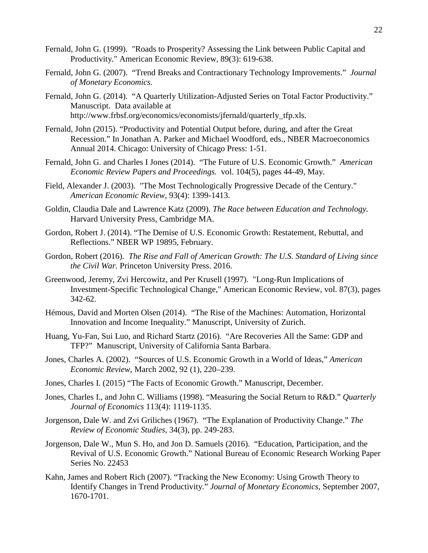- Fernald, John G. (1999). "Roads to Prosperity? Assessing the Link between Public Capital and Productivity." American Economic Review, 89(3): 619-638.
- Fernald, John G. (2007). "Trend Breaks and Contractionary Technology Improvements." *Journal of Monetary Economics*.
- Fernald, John G. (2014). "A Quarterly Utilization-Adjusted Series on Total Factor Productivity." Manuscript. Data available at http://www.frbsf.org/economics/economists/jfernald/quarterly\_tfp.xls.
- Fernald, John (2015). "Productivity and Potential Output before, during, and after the Great Recession." In Jonathan A. Parker and Michael Woodford, eds., NBER Macroeconomics Annual 2014. Chicago: University of Chicago Press: 1-51.
- Fernald, John G. and Charles I Jones (2014). "The Future of U.S. Economic Growth." *American Economic Review Papers and Proceedings.* vol. 104(5), pages 44-49, May.
- Field, Alexander J. (2003). "The Most Technologically Progressive Decade of the Century." *American Economic Review*, 93(4): 1399-1413.
- Goldin, Claudia Dale and Lawrence Katz (2009). *The Race between Education and Technology.*  Harvard University Press, Cambridge MA.
- Gordon, Robert J. (2014). "The Demise of U.S. Economic Growth: Restatement, Rebuttal, and Reflections." NBER WP 19895, February.
- Gordon, Robert (2016). *The Rise and Fall of American Growth: The U.S. Standard of Living since the Civil War.* Princeton University Press. 2016.
- Greenwood, Jeremy, Zvi Hercowitz, and Per Krusell (1997). "Long-Run Implications of Investment-Specific Technological Change," American Economic Review, vol. 87(3), pages 342-62.
- Hémous, David and Morten Olsen (2014). "The Rise of the Machines: Automation, Horizontal Innovation and Income Inequality." Manuscript, University of Zurich.
- Huang, Yu-Fan, Sui Luo, and Richard Startz (2016). "Are Recoveries All the Same: GDP and TFP?" Manuscript, University of California Santa Barbara.
- Jones, Charles A. (2002). "Sources of U.S. Economic Growth in a World of Ideas," *American Economic Review*, March 2002, 92 (1), 220–239.
- Jones, Charles I. (2015) "The Facts of Economic Growth." Manuscript, December.
- Jones, Charles I., and John C. Williams (1998). "Measuring the Social Return to R&D." *Quarterly Journal of Economics* 113(4): 1119-1135.
- Jorgenson, Dale W. and Zvi Griliches (1967). "The Explanation of Productivity Change." *The Review of Economic Studies*, 34(3), pp. 249-283.
- Jorgenson, Dale W., Mun S. Ho, and Jon D. Samuels (2016). "Education, Participation, and the Revival of U.S. Economic Growth." National Bureau of Economic Research Working Paper Series No. 22453
- Kahn, James and Robert Rich (2007). "Tracking the New Economy: Using Growth Theory to Identify Changes in Trend Productivity." *Journal of Monetary Economics*, September 2007, 1670-1701.